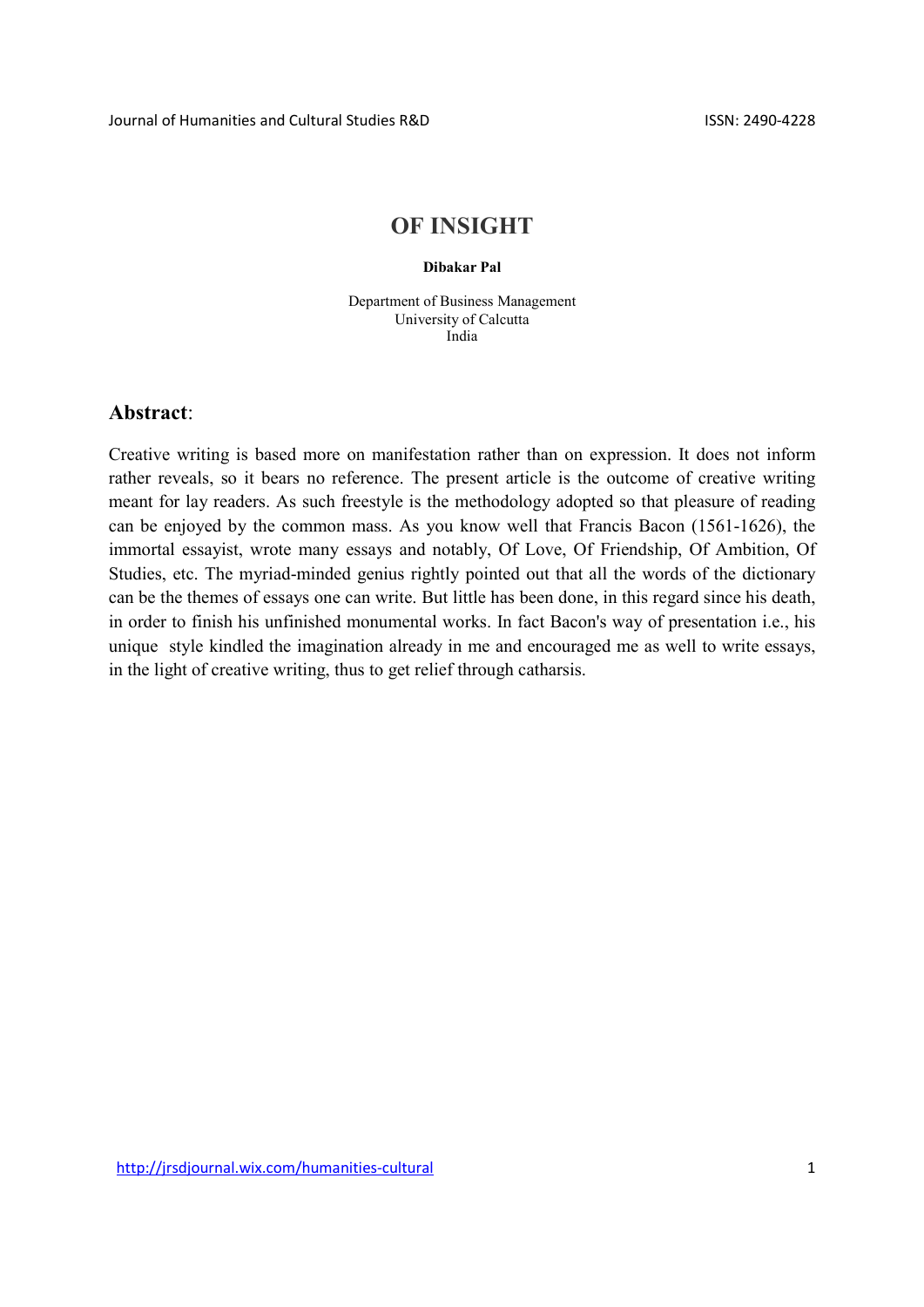## OF INSIGHT

## Dibakar Pal

Department of Business Management University of Calcutta India

## Abstract:

Creative writing is based more on manifestation rather than on expression. It does not inform rather reveals, so it bears no reference. The present article is the outcome of creative writing meant for lay readers. As such freestyle is the methodology adopted so that pleasure of reading can be enjoyed by the common mass. As you know well that Francis Bacon (1561-1626), the immortal essayist, wrote many essays and notably, Of Love, Of Friendship, Of Ambition, Of Studies, etc. The myriad-minded genius rightly pointed out that all the words of the dictionary can be the themes of essays one can write. But little has been done, in this regard since his death, in order to finish his unfinished monumental works. In fact Bacon's way of presentation i.e., his unique style kindled the imagination already in me and encouraged me as well to write essays, in the light of creative writing, thus to get relief through catharsis.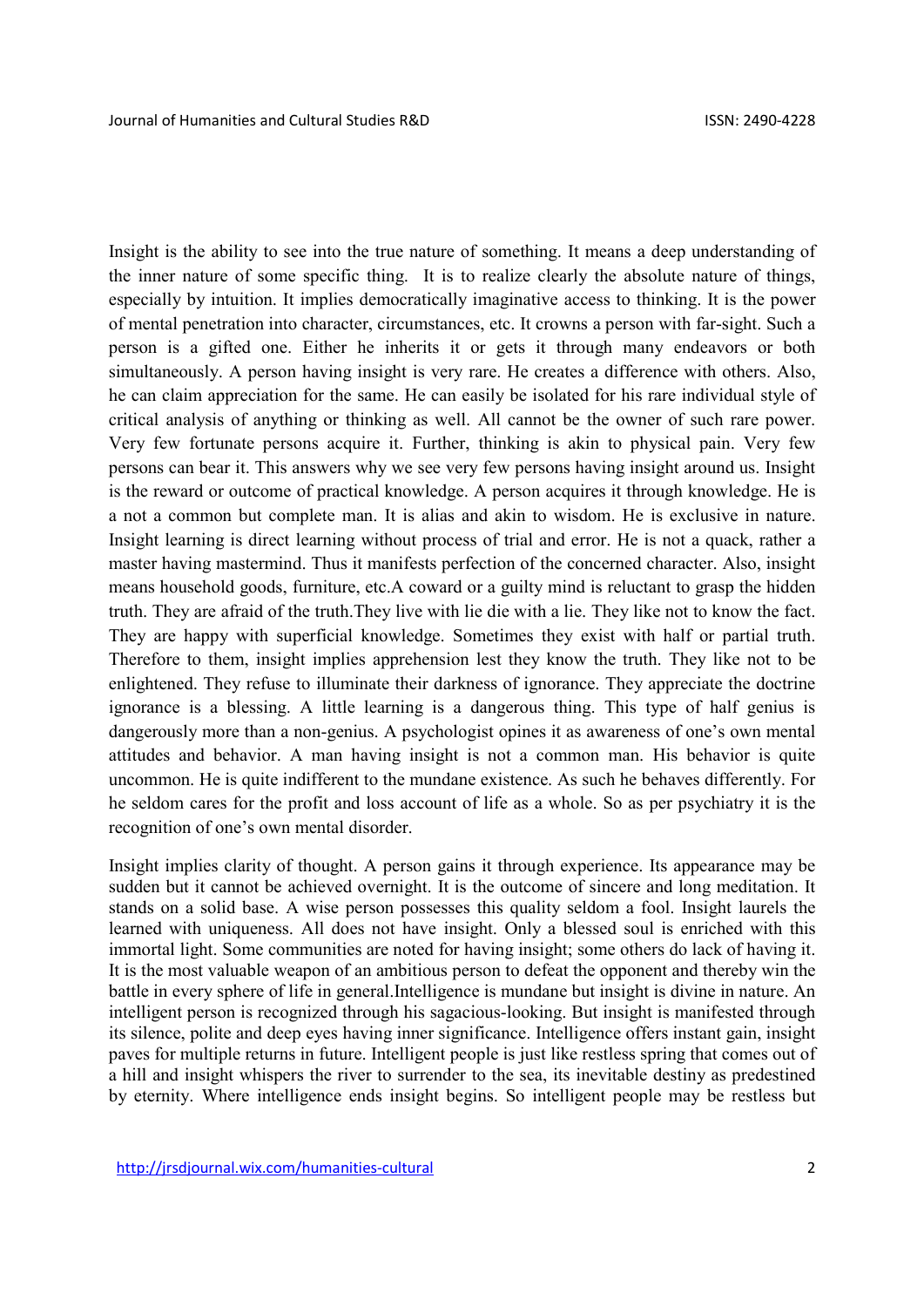Insight is the ability to see into the true nature of something. It means a deep understanding of the inner nature of some specific thing. It is to realize clearly the absolute nature of things, especially by intuition. It implies democratically imaginative access to thinking. It is the power of mental penetration into character, circumstances, etc. It crowns a person with far-sight. Such a person is a gifted one. Either he inherits it or gets it through many endeavors or both simultaneously. A person having insight is very rare. He creates a difference with others. Also, he can claim appreciation for the same. He can easily be isolated for his rare individual style of critical analysis of anything or thinking as well. All cannot be the owner of such rare power. Very few fortunate persons acquire it. Further, thinking is akin to physical pain. Very few persons can bear it. This answers why we see very few persons having insight around us. Insight is the reward or outcome of practical knowledge. A person acquires it through knowledge. He is a not a common but complete man. It is alias and akin to wisdom. He is exclusive in nature. Insight learning is direct learning without process of trial and error. He is not a quack, rather a master having mastermind. Thus it manifests perfection of the concerned character. Also, insight means household goods, furniture, etc.A coward or a guilty mind is reluctant to grasp the hidden truth. They are afraid of the truth.They live with lie die with a lie. They like not to know the fact. They are happy with superficial knowledge. Sometimes they exist with half or partial truth. Therefore to them, insight implies apprehension lest they know the truth. They like not to be enlightened. They refuse to illuminate their darkness of ignorance. They appreciate the doctrine ignorance is a blessing. A little learning is a dangerous thing. This type of half genius is dangerously more than a non-genius. A psychologist opines it as awareness of one's own mental attitudes and behavior. A man having insight is not a common man. His behavior is quite uncommon. He is quite indifferent to the mundane existence. As such he behaves differently. For he seldom cares for the profit and loss account of life as a whole. So as per psychiatry it is the recognition of one's own mental disorder.

Insight implies clarity of thought. A person gains it through experience. Its appearance may be sudden but it cannot be achieved overnight. It is the outcome of sincere and long meditation. It stands on a solid base. A wise person possesses this quality seldom a fool. Insight laurels the learned with uniqueness. All does not have insight. Only a blessed soul is enriched with this immortal light. Some communities are noted for having insight; some others do lack of having it. It is the most valuable weapon of an ambitious person to defeat the opponent and thereby win the battle in every sphere of life in general.Intelligence is mundane but insight is divine in nature. An intelligent person is recognized through his sagacious-looking. But insight is manifested through its silence, polite and deep eyes having inner significance. Intelligence offers instant gain, insight paves for multiple returns in future. Intelligent people is just like restless spring that comes out of a hill and insight whispers the river to surrender to the sea, its inevitable destiny as predestined by eternity. Where intelligence ends insight begins. So intelligent people may be restless but